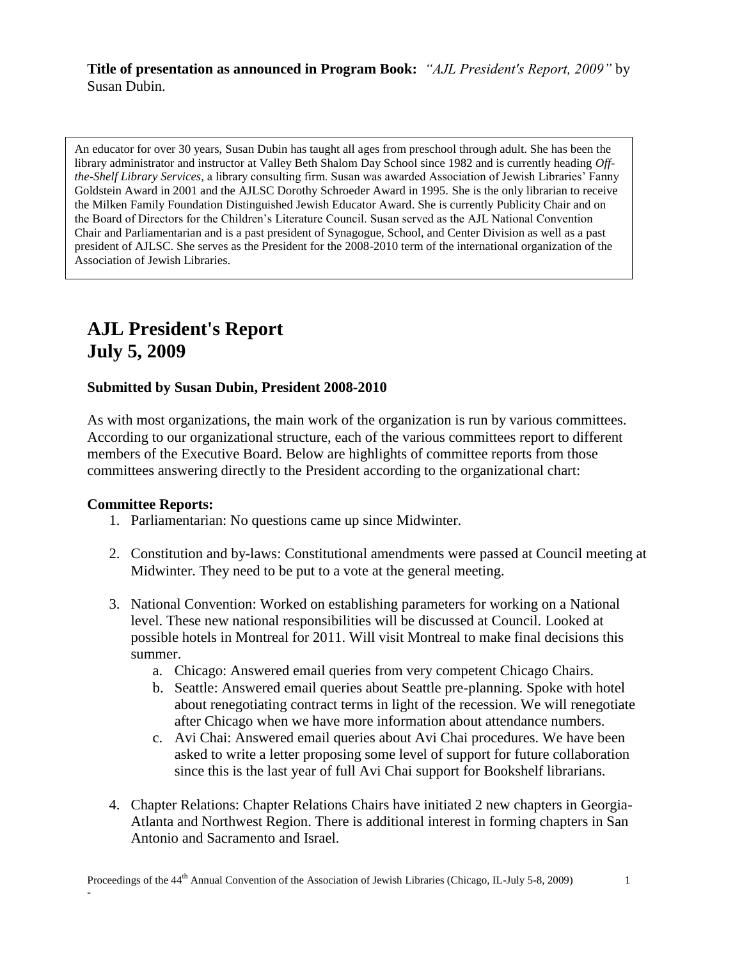**Title of presentation as announced in Program Book:** *"AJL President's Report, 2009"* by Susan Dubin.

An educator for over 30 years, Susan Dubin has taught all ages from preschool through adult. She has been the library administrator and instructor at Valley Beth Shalom Day School since 1982 and is currently heading *Offthe-Shelf Library Services,* a library consulting firm. Susan was awarded Association of Jewish Libraries' Fanny Goldstein Award in 2001 and the AJLSC Dorothy Schroeder Award in 1995. She is the only librarian to receive the Milken Family Foundation Distinguished Jewish Educator Award. She is currently Publicity Chair and on the Board of Directors for the Children's Literature Council. Susan served as the AJL National Convention Chair and Parliamentarian and is a past president of Synagogue, School, and Center Division as well as a past president of AJLSC. She serves as the President for the 2008-2010 term of the international organization of the Association of Jewish Libraries.

# **AJL President's Report July 5, 2009**

### **Submitted by Susan Dubin, President 2008-2010**

As with most organizations, the main work of the organization is run by various committees. According to our organizational structure, each of the various committees report to different members of the Executive Board. Below are highlights of committee reports from those committees answering directly to the President according to the organizational chart:

### **Committee Reports:**

-

- 1. Parliamentarian: No questions came up since Midwinter.
- 2. Constitution and by-laws: Constitutional amendments were passed at Council meeting at Midwinter. They need to be put to a vote at the general meeting.
- 3. National Convention: Worked on establishing parameters for working on a National level. These new national responsibilities will be discussed at Council. Looked at possible hotels in Montreal for 2011. Will visit Montreal to make final decisions this summer.
	- a. Chicago: Answered email queries from very competent Chicago Chairs.
	- b. Seattle: Answered email queries about Seattle pre-planning. Spoke with hotel about renegotiating contract terms in light of the recession. We will renegotiate after Chicago when we have more information about attendance numbers.
	- c. Avi Chai: Answered email queries about Avi Chai procedures. We have been asked to write a letter proposing some level of support for future collaboration since this is the last year of full Avi Chai support for Bookshelf librarians.
- 4. Chapter Relations: Chapter Relations Chairs have initiated 2 new chapters in Georgia-Atlanta and Northwest Region. There is additional interest in forming chapters in San Antonio and Sacramento and Israel.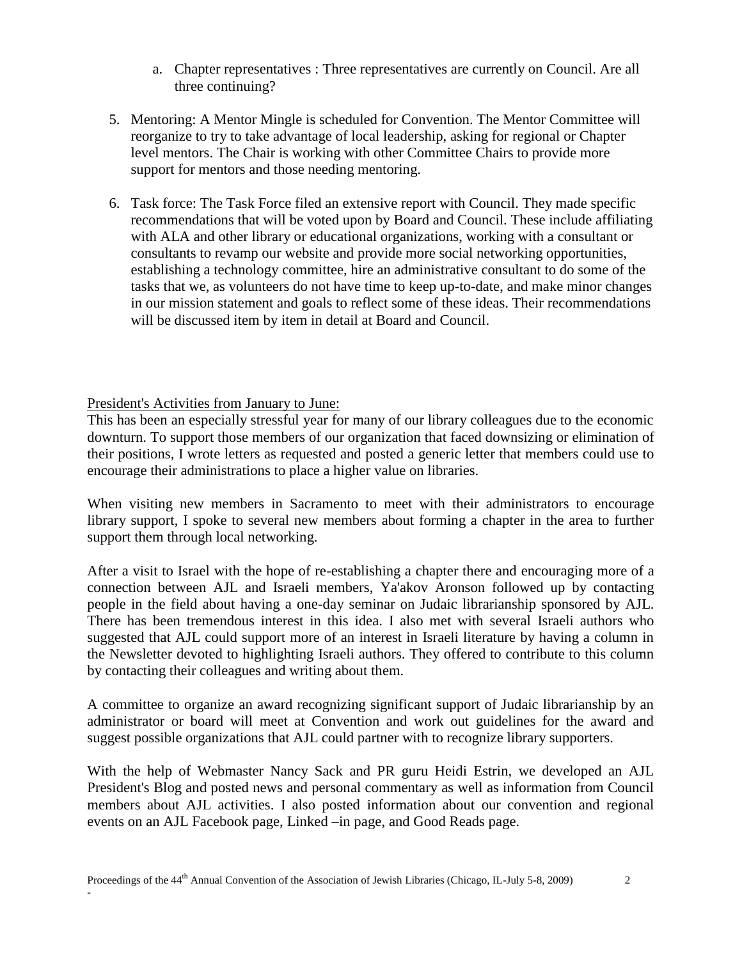- a. Chapter representatives : Three representatives are currently on Council. Are all three continuing?
- 5. Mentoring: A Mentor Mingle is scheduled for Convention. The Mentor Committee will reorganize to try to take advantage of local leadership, asking for regional or Chapter level mentors. The Chair is working with other Committee Chairs to provide more support for mentors and those needing mentoring.
- 6. Task force: The Task Force filed an extensive report with Council. They made specific recommendations that will be voted upon by Board and Council. These include affiliating with ALA and other library or educational organizations, working with a consultant or consultants to revamp our website and provide more social networking opportunities, establishing a technology committee, hire an administrative consultant to do some of the tasks that we, as volunteers do not have time to keep up-to-date, and make minor changes in our mission statement and goals to reflect some of these ideas. Their recommendations will be discussed item by item in detail at Board and Council.

# President's Activities from January to June:

-

This has been an especially stressful year for many of our library colleagues due to the economic downturn. To support those members of our organization that faced downsizing or elimination of their positions, I wrote letters as requested and posted a generic letter that members could use to encourage their administrations to place a higher value on libraries.

When visiting new members in Sacramento to meet with their administrators to encourage library support, I spoke to several new members about forming a chapter in the area to further support them through local networking.

After a visit to Israel with the hope of re-establishing a chapter there and encouraging more of a connection between AJL and Israeli members, Ya'akov Aronson followed up by contacting people in the field about having a one-day seminar on Judaic librarianship sponsored by AJL. There has been tremendous interest in this idea. I also met with several Israeli authors who suggested that AJL could support more of an interest in Israeli literature by having a column in the Newsletter devoted to highlighting Israeli authors. They offered to contribute to this column by contacting their colleagues and writing about them.

A committee to organize an award recognizing significant support of Judaic librarianship by an administrator or board will meet at Convention and work out guidelines for the award and suggest possible organizations that AJL could partner with to recognize library supporters.

With the help of Webmaster Nancy Sack and PR guru Heidi Estrin, we developed an AJL President's Blog and posted news and personal commentary as well as information from Council members about AJL activities. I also posted information about our convention and regional events on an AJL Facebook page, Linked –in page, and Good Reads page.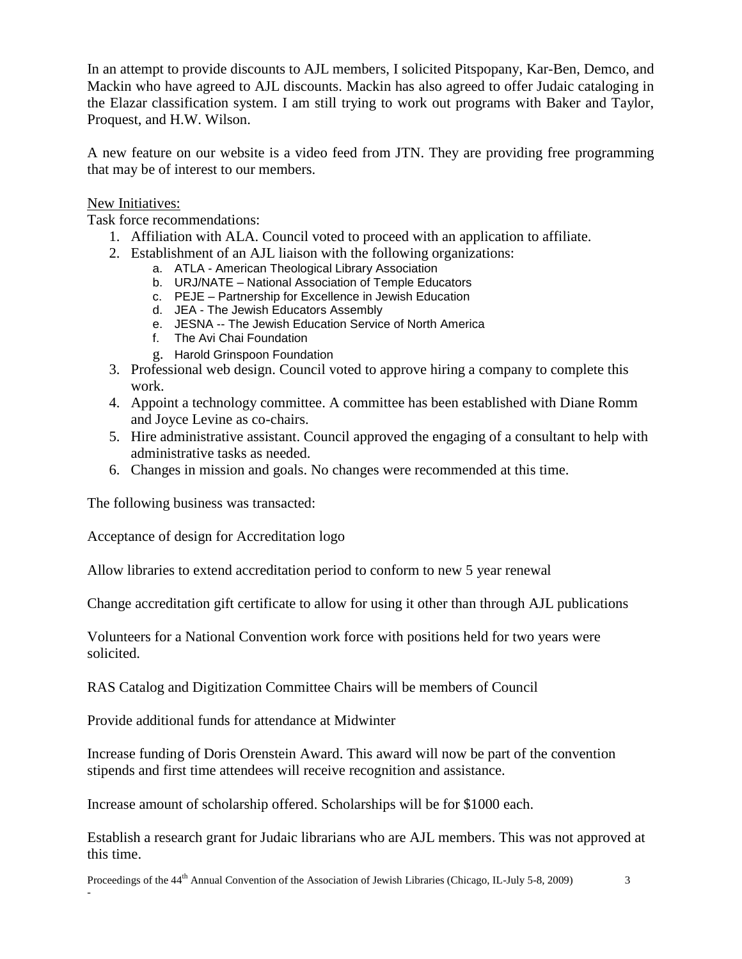In an attempt to provide discounts to AJL members, I solicited Pitspopany, Kar-Ben, Demco, and Mackin who have agreed to AJL discounts. Mackin has also agreed to offer Judaic cataloging in the Elazar classification system. I am still trying to work out programs with Baker and Taylor, Proquest, and H.W. Wilson.

A new feature on our website is a video feed from JTN. They are providing free programming that may be of interest to our members.

# New Initiatives:

-

Task force recommendations:

- 1. Affiliation with ALA. Council voted to proceed with an application to affiliate.
- 2. Establishment of an AJL liaison with the following organizations:
	- a. ATLA American Theological Library Association
	- b. URJ/NATE National Association of Temple Educators
	- c. PEJE Partnership for Excellence in Jewish Education
	- d. JEA The Jewish Educators Assembly
	- e. JESNA -- The Jewish Education Service of North America
	- f. The Avi Chai Foundation
	- g. Harold Grinspoon Foundation
- 3. Professional web design. Council voted to approve hiring a company to complete this work.
- 4. Appoint a technology committee. A committee has been established with Diane Romm and Joyce Levine as co-chairs.
- 5. Hire administrative assistant. Council approved the engaging of a consultant to help with administrative tasks as needed.
- 6. Changes in mission and goals. No changes were recommended at this time.

The following business was transacted:

Acceptance of design for Accreditation logo

Allow libraries to extend accreditation period to conform to new 5 year renewal

Change accreditation gift certificate to allow for using it other than through AJL publications

Volunteers for a National Convention work force with positions held for two years were solicited.

RAS Catalog and Digitization Committee Chairs will be members of Council

Provide additional funds for attendance at Midwinter

Increase funding of Doris Orenstein Award. This award will now be part of the convention stipends and first time attendees will receive recognition and assistance.

Increase amount of scholarship offered. Scholarships will be for \$1000 each.

Establish a research grant for Judaic librarians who are AJL members. This was not approved at this time.